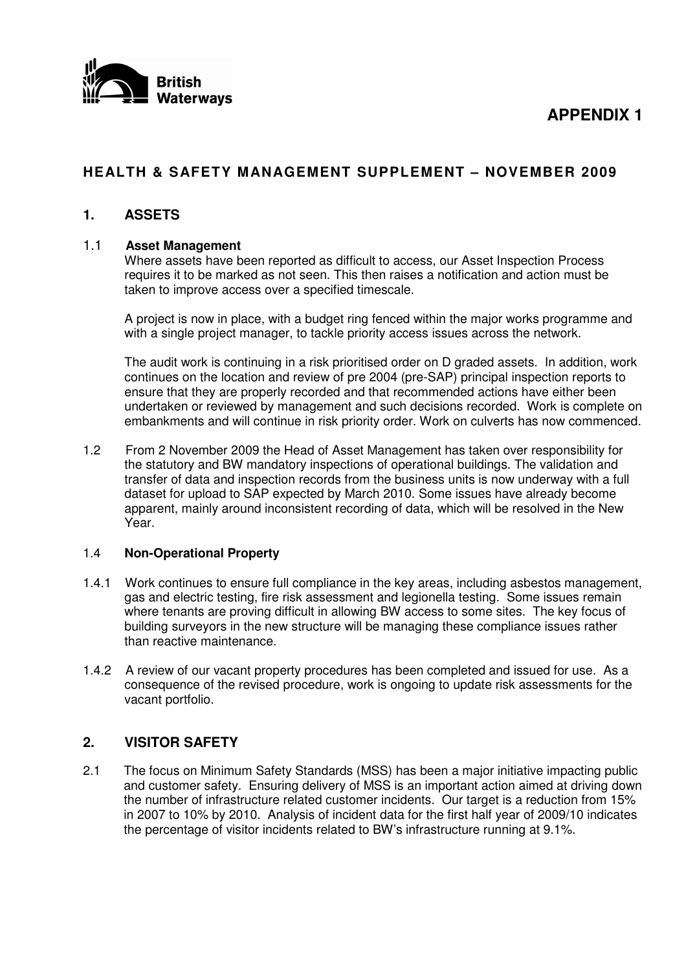



# **HEALTH & SAFETY MANAGEMENT SUPPLEMENT – NOVEMBER 2009**

## **1. ASSETS**

#### 1.1 **Asset Management**

Where assets have been reported as difficult to access, our Asset Inspection Process requires it to be marked as not seen. This then raises a notification and action must be taken to improve access over a specified timescale.

A project is now in place, with a budget ring fenced within the major works programme and with a single project manager, to tackle priority access issues across the network.

The audit work is continuing in a risk prioritised order on D graded assets. In addition, work continues on the location and review of pre 2004 (pre-SAP) principal inspection reports to ensure that they are properly recorded and that recommended actions have either been undertaken or reviewed by management and such decisions recorded. Work is complete on embankments and will continue in risk priority order. Work on culverts has now commenced.

1.2 From 2 November 2009 the Head of Asset Management has taken over responsibility for the statutory and BW mandatory inspections of operational buildings. The validation and transfer of data and inspection records from the business units is now underway with a full dataset for upload to SAP expected by March 2010. Some issues have already become apparent, mainly around inconsistent recording of data, which will be resolved in the New Year.

#### 1.4 **Non-Operational Property**

- 1.4.1 Work continues to ensure full compliance in the key areas, including asbestos management, gas and electric testing, fire risk assessment and legionella testing. Some issues remain where tenants are proving difficult in allowing BW access to some sites. The key focus of building surveyors in the new structure will be managing these compliance issues rather than reactive maintenance.
- 1.4.2 A review of our vacant property procedures has been completed and issued for use. As a consequence of the revised procedure, work is ongoing to update risk assessments for the vacant portfolio.

## **2. VISITOR SAFETY**

2.1 The focus on Minimum Safety Standards (MSS) has been a major initiative impacting public and customer safety. Ensuring delivery of MSS is an important action aimed at driving down the number of infrastructure related customer incidents. Our target is a reduction from 15% in 2007 to 10% by 2010. Analysis of incident data for the first half year of 2009/10 indicates the percentage of visitor incidents related to BW's infrastructure running at 9.1%.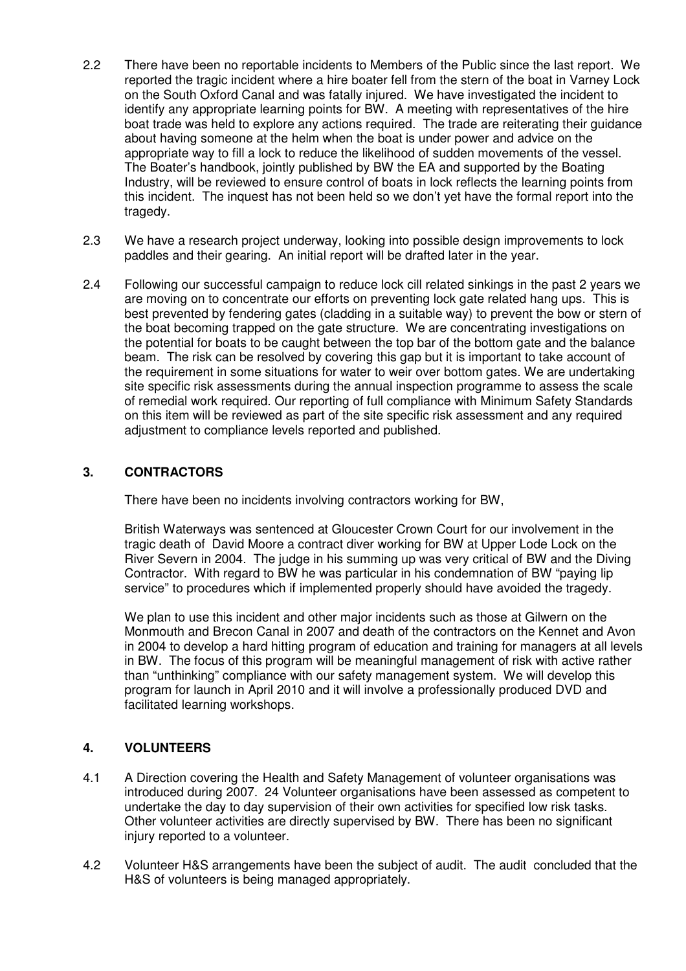- 2.2 There have been no reportable incidents to Members of the Public since the last report. We reported the tragic incident where a hire boater fell from the stern of the boat in Varney Lock on the South Oxford Canal and was fatally injured. We have investigated the incident to identify any appropriate learning points for BW. A meeting with representatives of the hire boat trade was held to explore any actions required. The trade are reiterating their guidance about having someone at the helm when the boat is under power and advice on the appropriate way to fill a lock to reduce the likelihood of sudden movements of the vessel. The Boater's handbook, jointly published by BW the EA and supported by the Boating Industry, will be reviewed to ensure control of boats in lock reflects the learning points from this incident. The inquest has not been held so we don't yet have the formal report into the tragedy.
- 2.3 We have a research project underway, looking into possible design improvements to lock paddles and their gearing. An initial report will be drafted later in the year.
- 2.4 Following our successful campaign to reduce lock cill related sinkings in the past 2 years we are moving on to concentrate our efforts on preventing lock gate related hang ups. This is best prevented by fendering gates (cladding in a suitable way) to prevent the bow or stern of the boat becoming trapped on the gate structure. We are concentrating investigations on the potential for boats to be caught between the top bar of the bottom gate and the balance beam. The risk can be resolved by covering this gap but it is important to take account of the requirement in some situations for water to weir over bottom gates. We are undertaking site specific risk assessments during the annual inspection programme to assess the scale of remedial work required. Our reporting of full compliance with Minimum Safety Standards on this item will be reviewed as part of the site specific risk assessment and any required adjustment to compliance levels reported and published.

#### **3. CONTRACTORS**

There have been no incidents involving contractors working for BW,

British Waterways was sentenced at Gloucester Crown Court for our involvement in the tragic death of David Moore a contract diver working for BW at Upper Lode Lock on the River Severn in 2004. The judge in his summing up was very critical of BW and the Diving Contractor. With regard to BW he was particular in his condemnation of BW "paying lip service" to procedures which if implemented properly should have avoided the tragedy.

We plan to use this incident and other major incidents such as those at Gilwern on the Monmouth and Brecon Canal in 2007 and death of the contractors on the Kennet and Avon in 2004 to develop a hard hitting program of education and training for managers at all levels in BW. The focus of this program will be meaningful management of risk with active rather than "unthinking" compliance with our safety management system. We will develop this program for launch in April 2010 and it will involve a professionally produced DVD and facilitated learning workshops.

#### **4. VOLUNTEERS**

- 4.1 A Direction covering the Health and Safety Management of volunteer organisations was introduced during 2007. 24 Volunteer organisations have been assessed as competent to undertake the day to day supervision of their own activities for specified low risk tasks. Other volunteer activities are directly supervised by BW. There has been no significant injury reported to a volunteer.
- 4.2 Volunteer H&S arrangements have been the subject of audit. The audit concluded that the H&S of volunteers is being managed appropriately.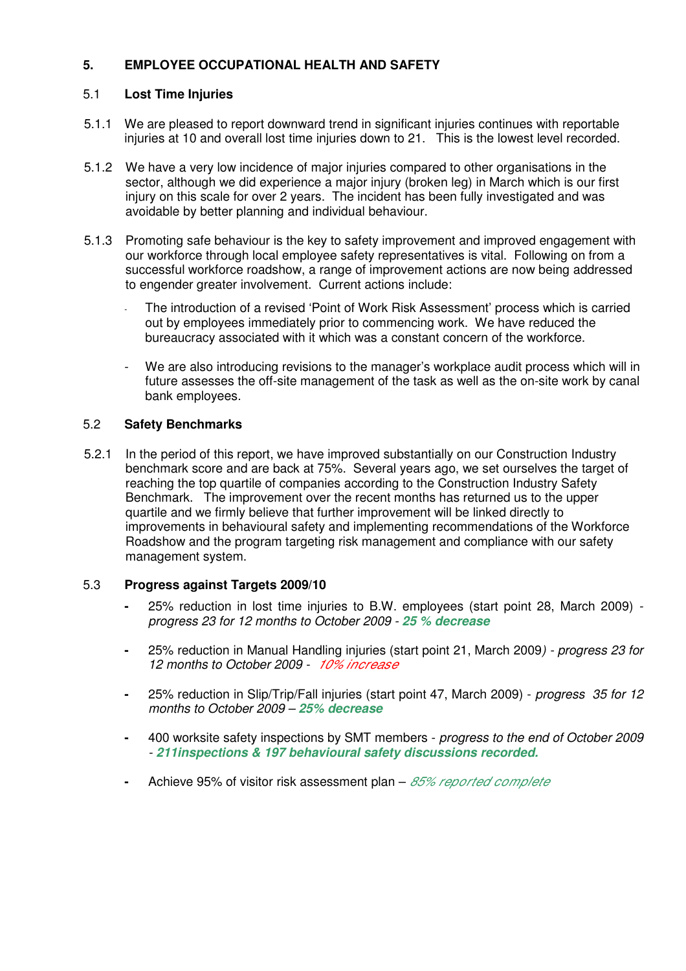## **5. EMPLOYEE OCCUPATIONAL HEALTH AND SAFETY**

#### 5.1 **Lost Time Injuries**

- 5.1.1 We are pleased to report downward trend in significant injuries continues with reportable injuries at 10 and overall lost time injuries down to 21. This is the lowest level recorded.
- 5.1.2 We have a very low incidence of major injuries compared to other organisations in the sector, although we did experience a major injury (broken leg) in March which is our first injury on this scale for over 2 years. The incident has been fully investigated and was avoidable by better planning and individual behaviour.
- 5.1.3 Promoting safe behaviour is the key to safety improvement and improved engagement with our workforce through local employee safety representatives is vital. Following on from a successful workforce roadshow, a range of improvement actions are now being addressed to engender greater involvement. Current actions include:
	- The introduction of a revised 'Point of Work Risk Assessment' process which is carried out by employees immediately prior to commencing work. We have reduced the bureaucracy associated with it which was a constant concern of the workforce.
	- We are also introducing revisions to the manager's workplace audit process which will in future assesses the off-site management of the task as well as the on-site work by canal bank employees.

#### 5.2 **Safety Benchmarks**

5.2.1 In the period of this report, we have improved substantially on our Construction Industry benchmark score and are back at 75%. Several years ago, we set ourselves the target of reaching the top quartile of companies according to the Construction Industry Safety Benchmark. The improvement over the recent months has returned us to the upper quartile and we firmly believe that further improvement will be linked directly to improvements in behavioural safety and implementing recommendations of the Workforce Roadshow and the program targeting risk management and compliance with our safety management system.

#### 5.3 **Progress against Targets 2009/10**

- **-** 25% reduction in lost time injuries to B.W. employees (start point 28, March 2009)  *progress 23 for 12 months to October 2009 - 25 % decrease*
- **-** 25% reduction in Manual Handling injuries (start point 21, March 2009*) - progress 23 for 12 months to October 2009 - 10% increase*
- **-** 25% reduction in Slip/Trip/Fall injuries (start point 47, March 2009) *progress 35 for 12 months to October 2009 – 25% decrease*
- **-** 400 worksite safety inspections by SMT members *progress to the end of October 2009 - 211inspections & 197 behavioural safety discussions recorded.*
- **-** Achieve 95% of visitor risk assessment plan *85% reported complete*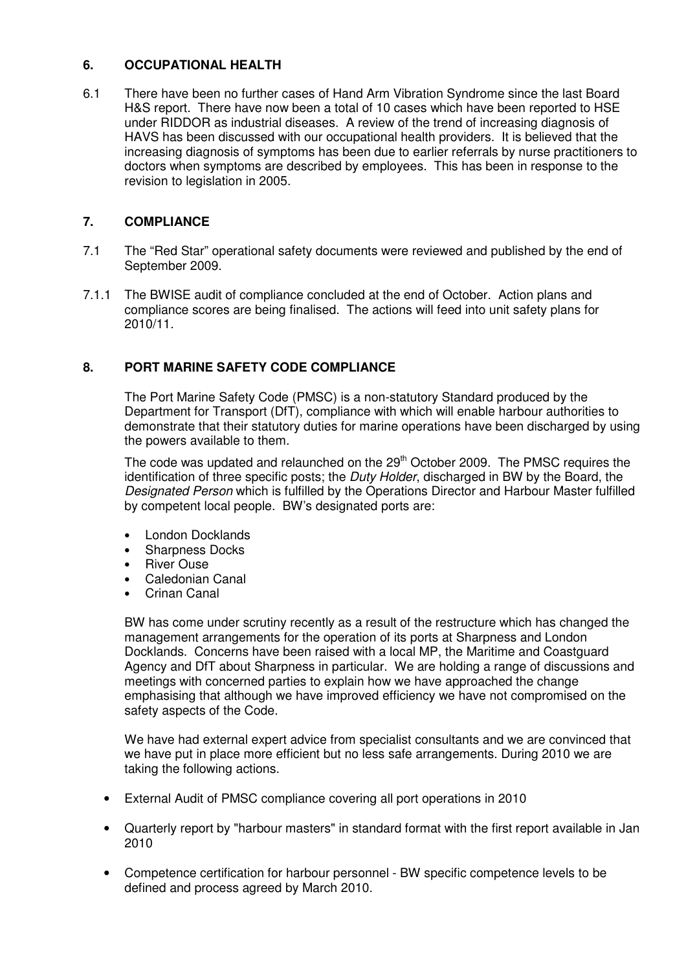#### **6. OCCUPATIONAL HEALTH**

6.1 There have been no further cases of Hand Arm Vibration Syndrome since the last Board H&S report. There have now been a total of 10 cases which have been reported to HSE under RIDDOR as industrial diseases. A review of the trend of increasing diagnosis of HAVS has been discussed with our occupational health providers. It is believed that the increasing diagnosis of symptoms has been due to earlier referrals by nurse practitioners to doctors when symptoms are described by employees. This has been in response to the revision to legislation in 2005.

# **7. COMPLIANCE**

- 7.1 The "Red Star" operational safety documents were reviewed and published by the end of September 2009.
- 7.1.1 The BWISE audit of compliance concluded at the end of October. Action plans and compliance scores are being finalised. The actions will feed into unit safety plans for 2010/11.

## **8. PORT MARINE SAFETY CODE COMPLIANCE**

The Port Marine Safety Code (PMSC) is a non-statutory Standard produced by the Department for Transport (DfT), compliance with which will enable harbour authorities to demonstrate that their statutory duties for marine operations have been discharged by using the powers available to them.

The code was updated and relaunched on the 29<sup>th</sup> October 2009. The PMSC requires the identification of three specific posts; the *Duty Holder*, discharged in BW by the Board, the *Designated Person* which is fulfilled by the Operations Director and Harbour Master fulfilled by competent local people. BW's designated ports are:

- London Docklands
- Sharpness Docks
- **River Ouse**
- Caledonian Canal
- Crinan Canal

BW has come under scrutiny recently as a result of the restructure which has changed the management arrangements for the operation of its ports at Sharpness and London Docklands. Concerns have been raised with a local MP, the Maritime and Coastguard Agency and DfT about Sharpness in particular. We are holding a range of discussions and meetings with concerned parties to explain how we have approached the change emphasising that although we have improved efficiency we have not compromised on the safety aspects of the Code.

We have had external expert advice from specialist consultants and we are convinced that we have put in place more efficient but no less safe arrangements. During 2010 we are taking the following actions.

- External Audit of PMSC compliance covering all port operations in 2010
- Quarterly report by "harbour masters" in standard format with the first report available in Jan 2010
- Competence certification for harbour personnel BW specific competence levels to be defined and process agreed by March 2010.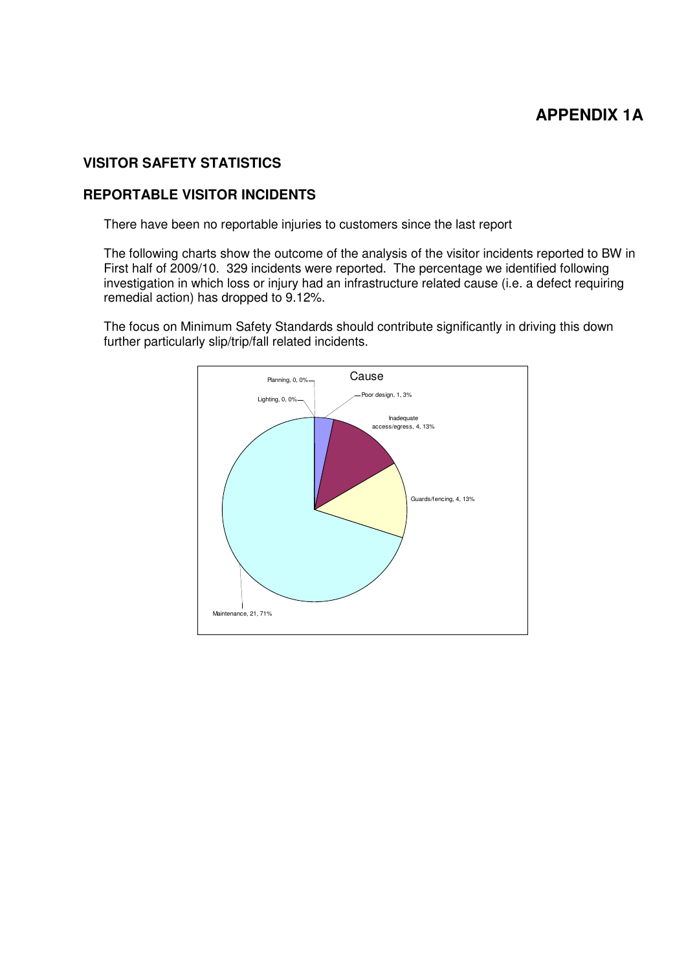# **APPENDIX 1A**

# **VISITOR SAFETY STATISTICS**

#### **REPORTABLE VISITOR INCIDENTS**

There have been no reportable injuries to customers since the last report

The following charts show the outcome of the analysis of the visitor incidents reported to BW in First half of 2009/10. 329 incidents were reported. The percentage we identified following investigation in which loss or injury had an infrastructure related cause (i.e. a defect requiring remedial action) has dropped to 9.12%.

The focus on Minimum Safety Standards should contribute significantly in driving this down further particularly slip/trip/fall related incidents.

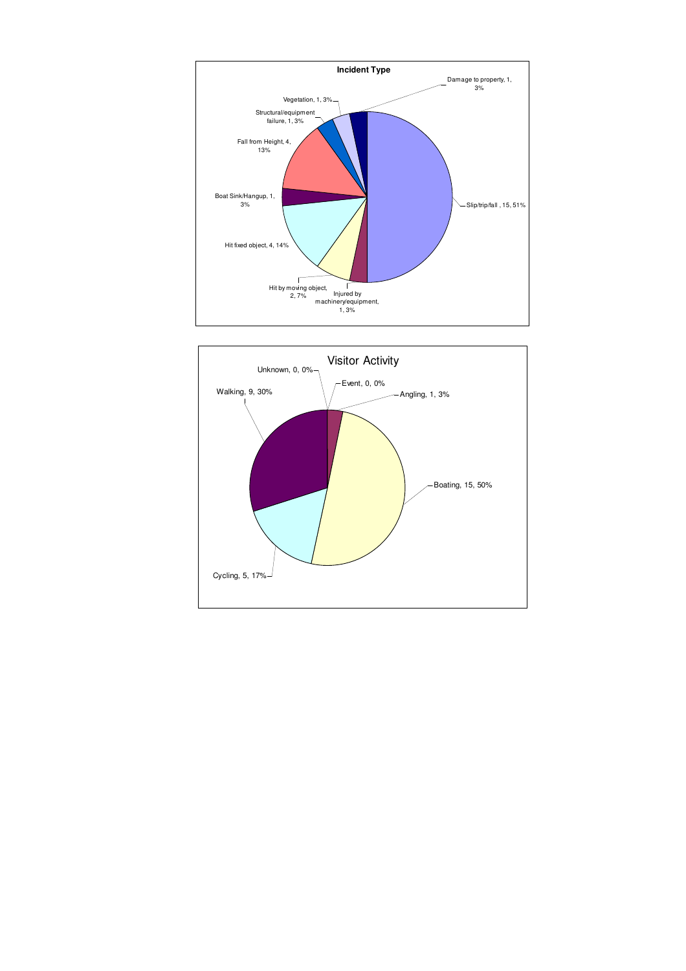

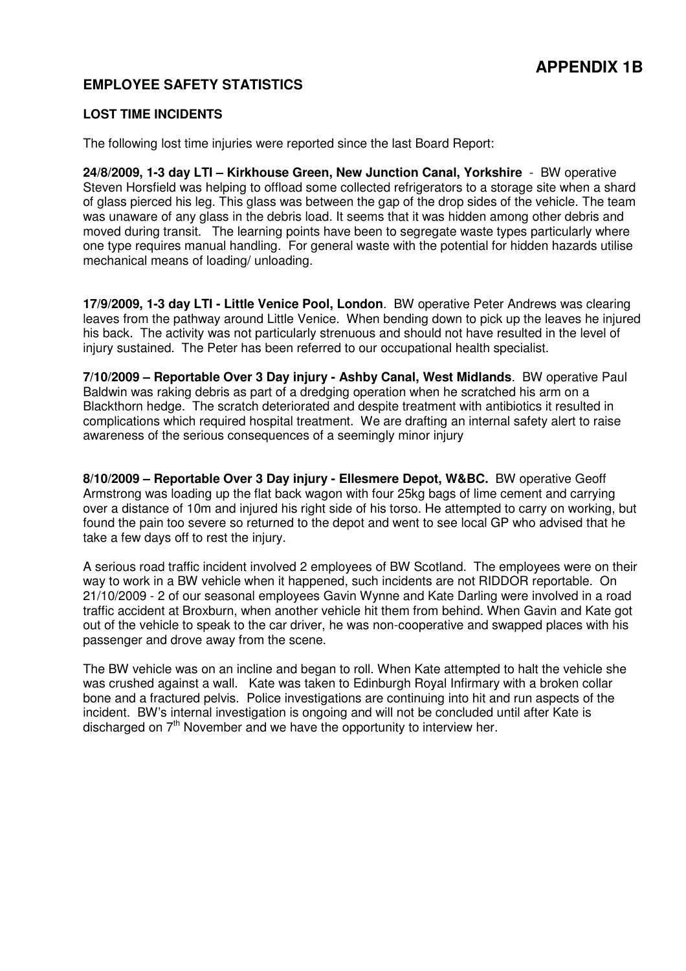# **APPENDIX 1B**

# **EMPLOYEE SAFETY STATISTICS**

#### **LOST TIME INCIDENTS**

The following lost time injuries were reported since the last Board Report:

**24/8/2009, 1-3 day LTI – Kirkhouse Green, New Junction Canal, Yorkshire** - BW operative Steven Horsfield was helping to offload some collected refrigerators to a storage site when a shard of glass pierced his leg. This glass was between the gap of the drop sides of the vehicle. The team was unaware of any glass in the debris load. It seems that it was hidden among other debris and moved during transit. The learning points have been to segregate waste types particularly where one type requires manual handling. For general waste with the potential for hidden hazards utilise mechanical means of loading/ unloading.

**17/9/2009, 1-3 day LTI - Little Venice Pool, London**. BW operative Peter Andrews was clearing leaves from the pathway around Little Venice. When bending down to pick up the leaves he injured his back. The activity was not particularly strenuous and should not have resulted in the level of injury sustained. The Peter has been referred to our occupational health specialist.

**7/10/2009 – Reportable Over 3 Day injury - Ashby Canal, West Midlands**. BW operative Paul Baldwin was raking debris as part of a dredging operation when he scratched his arm on a Blackthorn hedge. The scratch deteriorated and despite treatment with antibiotics it resulted in complications which required hospital treatment. We are drafting an internal safety alert to raise awareness of the serious consequences of a seemingly minor injury

**8/10/2009 – Reportable Over 3 Day injury - Ellesmere Depot, W&BC.** BW operative Geoff Armstrong was loading up the flat back wagon with four 25kg bags of lime cement and carrying over a distance of 10m and injured his right side of his torso. He attempted to carry on working, but found the pain too severe so returned to the depot and went to see local GP who advised that he take a few days off to rest the injury.

A serious road traffic incident involved 2 employees of BW Scotland. The employees were on their way to work in a BW vehicle when it happened, such incidents are not RIDDOR reportable. On 21/10/2009 - 2 of our seasonal employees Gavin Wynne and Kate Darling were involved in a road traffic accident at Broxburn, when another vehicle hit them from behind. When Gavin and Kate got out of the vehicle to speak to the car driver, he was non-cooperative and swapped places with his passenger and drove away from the scene.

The BW vehicle was on an incline and began to roll. When Kate attempted to halt the vehicle she was crushed against a wall. Kate was taken to Edinburgh Royal Infirmary with a broken collar bone and a fractured pelvis. Police investigations are continuing into hit and run aspects of the incident. BW's internal investigation is ongoing and will not be concluded until after Kate is discharged on 7<sup>th</sup> November and we have the opportunity to interview her.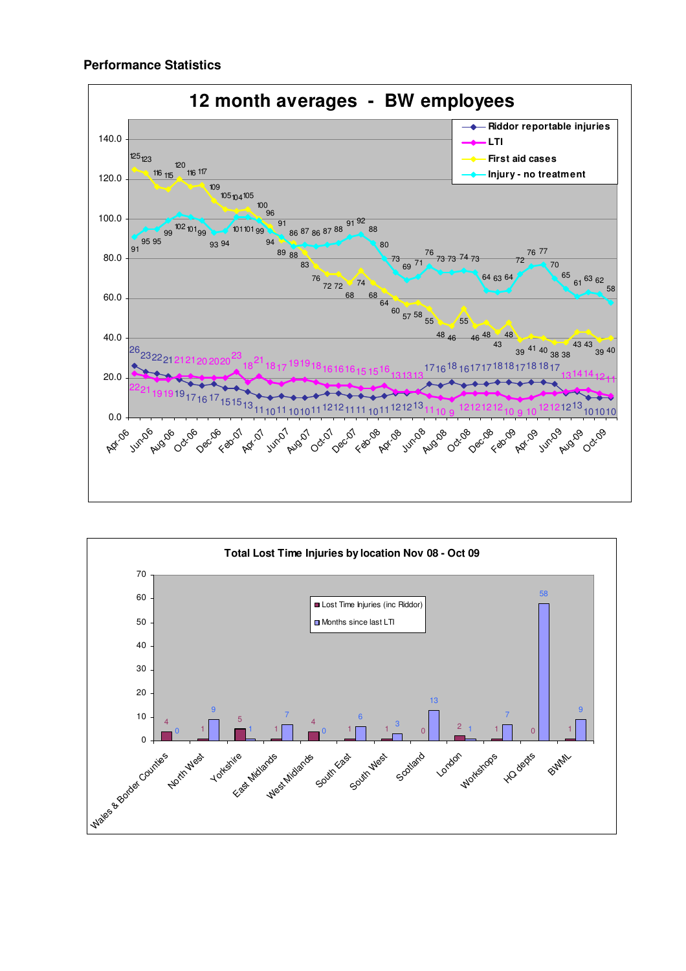